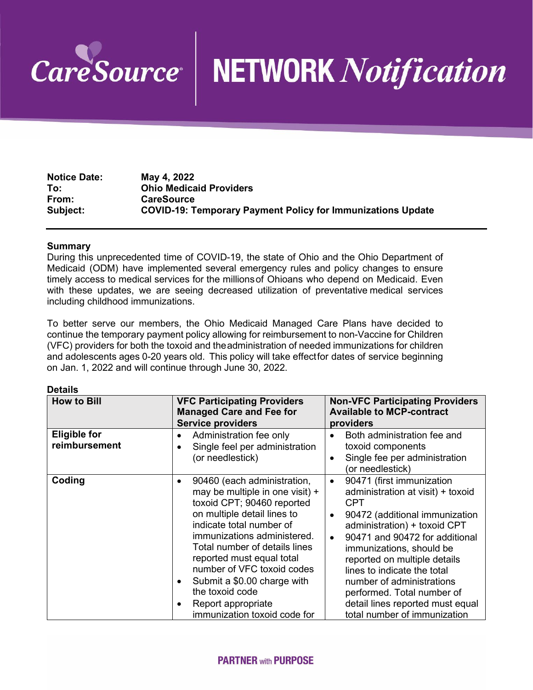

# **NETWORK** Notification

| <b>Notice Date:</b> | May 4, 2022                                                        |
|---------------------|--------------------------------------------------------------------|
| To:                 | <b>Ohio Medicaid Providers</b>                                     |
| From:               | <b>CareSource</b>                                                  |
| Subject:            | <b>COVID-19: Temporary Payment Policy for Immunizations Update</b> |

### **Summary**

During this unprecedented time of COVID-19, the state of Ohio and the Ohio Department of Medicaid (ODM) have implemented several emergency rules and policy changes to ensure timely access to medical services for the millionsof Ohioans who depend on Medicaid. Even with these updates, we are seeing decreased utilization of preventative medical services including childhood immunizations.

To better serve our members, the Ohio Medicaid Managed Care Plans have decided to continue the temporary payment policy allowing for reimbursement to non-Vaccine for Children (VFC) providers for both the toxoid and theadministration of needed immunizations for children and adolescents ages 0-20 years old. This policy will take effectfor dates of service beginning on Jan. 1, 2022 and will continue through June 30, 2022.

#### **Details**

| <b>How to Bill</b>                   | <b>VFC Participating Providers</b><br><b>Managed Care and Fee for</b><br><b>Service providers</b>                                                                                                                                                                                                                                                                                                                                 | <b>Non-VFC Participating Providers</b><br><b>Available to MCP-contract</b><br>providers                                                                                                                                                                                                                                                                                                                                                           |
|--------------------------------------|-----------------------------------------------------------------------------------------------------------------------------------------------------------------------------------------------------------------------------------------------------------------------------------------------------------------------------------------------------------------------------------------------------------------------------------|---------------------------------------------------------------------------------------------------------------------------------------------------------------------------------------------------------------------------------------------------------------------------------------------------------------------------------------------------------------------------------------------------------------------------------------------------|
| <b>Eligible for</b><br>reimbursement | Administration fee only<br>$\bullet$<br>Single feel per administration<br>$\bullet$<br>(or needlestick)                                                                                                                                                                                                                                                                                                                           | Both administration fee and<br>toxoid components<br>Single fee per administration<br>$\bullet$<br>(or needlestick)                                                                                                                                                                                                                                                                                                                                |
| Coding                               | 90460 (each administration,<br>$\bullet$<br>may be multiple in one visit) +<br>toxoid CPT; 90460 reported<br>on multiple detail lines to<br>indicate total number of<br>immunizations administered.<br>Total number of details lines<br>reported must equal total<br>number of VFC toxoid codes<br>Submit a \$0.00 charge with<br>$\bullet$<br>the toxoid code<br>Report appropriate<br>$\bullet$<br>immunization toxoid code for | 90471 (first immunization<br>$\bullet$<br>administration at visit) + toxoid<br><b>CPT</b><br>90472 (additional immunization<br>$\bullet$<br>administration) + toxoid CPT<br>90471 and 90472 for additional<br>$\bullet$<br>immunizations, should be<br>reported on multiple details<br>lines to indicate the total<br>number of administrations<br>performed. Total number of<br>detail lines reported must equal<br>total number of immunization |

## **PARTNER with PURPOSE**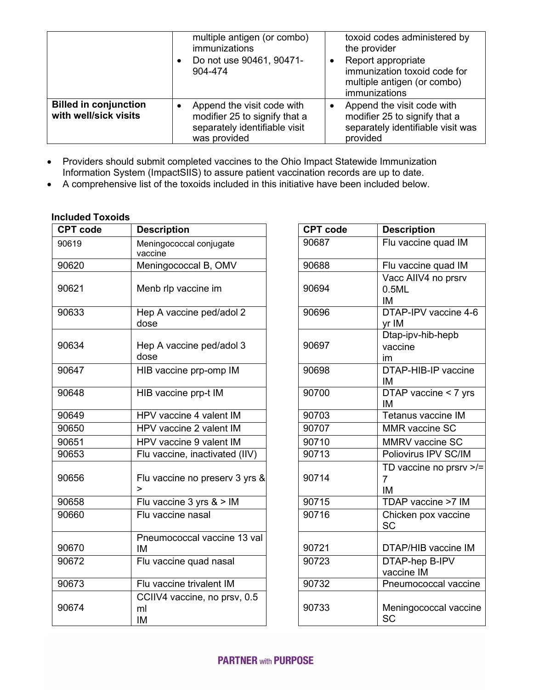|                                                       | multiple antigen (or combo)<br><i>immunizations</i><br>Do not use 90461, 90471-<br>904-474                        | toxoid codes administered by<br>the provider<br>Report appropriate<br>immunization toxoid code for<br>multiple antigen (or combo)<br>immunizations |
|-------------------------------------------------------|-------------------------------------------------------------------------------------------------------------------|----------------------------------------------------------------------------------------------------------------------------------------------------|
| <b>Billed in conjunction</b><br>with well/sick visits | Append the visit code with<br>€<br>modifier 25 to signify that a<br>separately identifiable visit<br>was provided | Append the visit code with<br>modifier 25 to signify that a<br>separately identifiable visit was<br>provided                                       |

- Providers should submit completed vaccines to the Ohio Impact Statewide Immunization Information System (ImpactSIIS) to assure patient vaccination records are up to date.
- A comprehensive list of the toxoids included in this initiative have been included below.

# **Included Toxoids**

| <b>CPT code</b> | <b>Description</b>                       | <b>CPT code</b> | <b>Description</b>                             |
|-----------------|------------------------------------------|-----------------|------------------------------------------------|
| 90619           | Meningococcal conjugate<br>vaccine       | 90687           | Flu vaccine quad IM                            |
| 90620           | Meningococcal B, OMV                     | 90688           | Flu vaccine quad IM                            |
| 90621           | Menb rlp vaccine im                      | 90694           | Vacc AIIV4 no prsrv<br>0.5ML<br>IM             |
| 90633           | Hep A vaccine ped/adol 2<br>dose         | 90696           | DTAP-IPV vaccine 4-6<br>yr IM                  |
| 90634           | Hep A vaccine ped/adol 3<br>dose         | 90697           | Dtap-ipv-hib-hepb<br>vaccine<br>im             |
| 90647           | HIB vaccine prp-omp IM                   | 90698           | DTAP-HIB-IP vaccine<br>IM                      |
| 90648           | HIB vaccine prp-t IM                     | 90700           | DTAP vaccine < 7 yrs<br>IM                     |
| 90649           | HPV vaccine 4 valent IM                  | 90703           | Tetanus vaccine IM                             |
| 90650           | HPV vaccine 2 valent IM                  | 90707           | <b>MMR</b> vaccine SC                          |
| 90651           | HPV vaccine 9 valent IM                  | 90710           | MMRV vaccine SC                                |
| 90653           | Flu vaccine, inactivated (IIV)           | 90713           | Poliovirus IPV SC/IM                           |
| 90656           | Flu vaccine no preserv 3 yrs &<br>$\geq$ | 90714           | TD vaccine no prsrv >/<br>$\overline{7}$<br>IM |
| 90658           | Flu vaccine 3 yrs & > IM                 | 90715           | TDAP vaccine >7 IM                             |
| 90660           | Flu vaccine nasal                        | 90716           | Chicken pox vaccine<br>SC                      |
| 90670           | Pneumococcal vaccine 13 val<br>IM        | 90721           | DTAP/HIB vaccine IM                            |
| 90672           | Flu vaccine quad nasal                   | 90723           | DTAP-hep B-IPV<br>vaccine IM                   |
| 90673           | Flu vaccine trivalent IM                 | 90732           | Pneumococcal vaccine                           |
| 90674           | CCIIV4 vaccine, no prsv, 0.5<br>ml<br>IM | 90733           | Meningococcal vaccine<br><b>SC</b>             |

| <b>Description</b>                       | <b>CPT code</b> | <b>Description</b>                              |
|------------------------------------------|-----------------|-------------------------------------------------|
| Meningococcal conjugate<br>vaccine       | 90687           | Flu vaccine quad IM                             |
| Meningococcal B, OMV                     | 90688           | Flu vaccine quad IM                             |
| Menb rlp vaccine im                      | 90694           | Vacc AIIV4 no prsrv<br>0.5ML<br>IM              |
| Hep A vaccine ped/adol 2<br>dose         | 90696           | DTAP-IPV vaccine 4-6<br>yr IM                   |
| Hep A vaccine ped/adol 3<br>dose         | 90697           | Dtap-ipv-hib-hepb<br>vaccine<br>im              |
| HIB vaccine prp-omp IM                   | 90698           | DTAP-HIB-IP vaccine<br>IM                       |
| HIB vaccine prp-t IM                     | 90700           | DTAP vaccine < 7 yrs<br>IM                      |
| HPV vaccine 4 valent IM                  | 90703           | Tetanus vaccine IM                              |
| HPV vaccine 2 valent IM                  | 90707           | <b>MMR</b> vaccine SC                           |
| HPV vaccine 9 valent IM                  | 90710           | MMRV vaccine SC                                 |
| Flu vaccine, inactivated (IIV)           | 90713           | Poliovirus IPV SC/IM                            |
| Flu vaccine no preserv 3 yrs &<br>>      | 90714           | TD vaccine no prsrv >/=<br>$\overline{7}$<br>IM |
| Flu vaccine $3$ yrs $8 >$ IM             | 90715           | TDAP vaccine >7 IM                              |
| Flu vaccine nasal                        | 90716           | Chicken pox vaccine<br><b>SC</b>                |
| Pneumococcal vaccine 13 val<br>IM        | 90721           | DTAP/HIB vaccine IM                             |
| Flu vaccine quad nasal                   | 90723           | DTAP-hep B-IPV<br>vaccine IM                    |
| Flu vaccine trivalent IM                 | 90732           | Pneumococcal vaccine                            |
| CCIIV4 vaccine, no prsv, 0.5<br>ml<br>ΙM | 90733           | Meningococcal vaccine<br><b>SC</b>              |